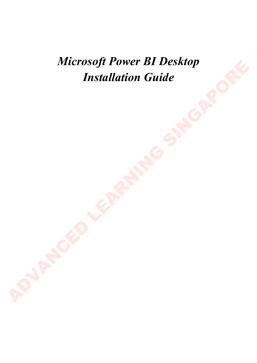*Microsoft Power BI Desktop Installation Guide*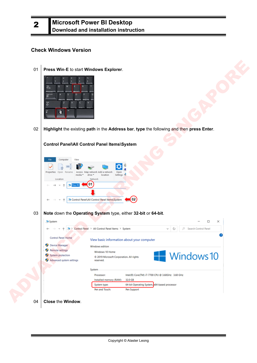### **Check Windows Version**

2

01 **Press Win**-**E** to start **Windows Explorer**.



02 **Highlight** the existing **path** in the **Address bar**, **type** the following and then **press Enter**.

| Press Win-E to start Windows Explorer.                                                                                |                    |
|-----------------------------------------------------------------------------------------------------------------------|--------------------|
| $\overline{\mathbf{a}}^{\mathrm{st}}$<br>ँ                                                                            |                    |
| Highlight the existing path in the Address bar, type the following and then press Enter.                              |                    |
|                                                                                                                       |                    |
|                                                                                                                       |                    |
| Control Panel\All Control Panel Items\System                                                                          |                    |
|                                                                                                                       |                    |
| Computer<br>View                                                                                                      |                    |
| Properties Open Rename<br>Map network Add a network<br>Open<br>Access<br>Settings <<br>media *<br>drive *<br>location |                    |
| Location<br>Network                                                                                                   |                    |
| 01<br>his PC                                                                                                          |                    |
|                                                                                                                       |                    |
| 02<br>Control Panel\All Control Panel Items\System                                                                    |                    |
|                                                                                                                       |                    |
|                                                                                                                       |                    |
| Note down the Operating System type, either 32-bit or 64-bit.                                                         |                    |
| System                                                                                                                | $\Box$<br>$\times$ |

03 **Note** down the **Operating System** type, either **32-bit** or **64-bit**.

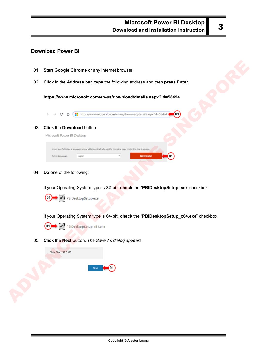### **Download Power BI**

| 01 | Start Google Chrome or any Internet browser.                                                                                                         |
|----|------------------------------------------------------------------------------------------------------------------------------------------------------|
| 02 | Click in the Address bar, type the following address and then press Enter.                                                                           |
|    | https://www.microsoft.com/en-us/download/details.aspx?id=58494                                                                                       |
|    | https://www.microsoft.com/en-us/download/details.aspx?id=58494<br>(01)<br>C<br>⇧                                                                     |
| 03 | Click the Download button.<br>Microsoft Power BI Desktop                                                                                             |
|    | Important! Selecting a language below will dynamically change the complete page content to that language.<br>Download<br>Select Language:<br>English |
| 04 | Do one of the following:                                                                                                                             |
|    | If your Operating System type is 32-bit, check the "PBIDesktopSetup.exe" checkbox.                                                                   |
|    | PBIDesktopSetup.exe                                                                                                                                  |
|    | If your Operating System type is 64-bit, check the "PBIDesktopSetup_x64.exe" checkbox.                                                               |
|    | PBIDesktopSetup_x64.exe<br>01                                                                                                                        |
| 05 | Click the Next button. The Save As dialog appears.<br>Total Size: 299.0 MB                                                                           |
|    | Next 01                                                                                                                                              |
|    |                                                                                                                                                      |
|    |                                                                                                                                                      |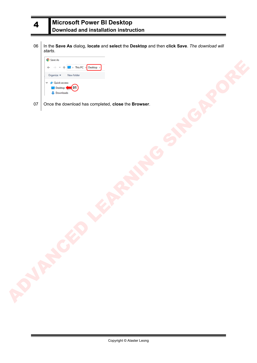

06 In the **Save As** dialog, **locate** and **select** the **Desktop** and then **click Save**. *The download will starts*.



07 Once the download has completed, **close** the **Browser**.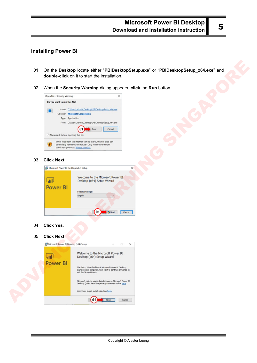### **Installing Power BI**

- 01 On the **Desktop** locate either "**PBIDesktopSetup.exe**" or "**PBIDesktopSetup\_x64.exe**" and **double-click** on it to start the installation.
- 02 When the **Security Warning** dialog appears, **click** the **Run** button.



#### 03 **Click Next**.

| Microsoft Power BI Desktop (x64) Setup |                                                                                                |  |
|----------------------------------------|------------------------------------------------------------------------------------------------|--|
| <b>July</b><br><b>Power BI</b>         | Welcome to the Microsoft Power BI<br>Desktop (x64) Setup Wizard<br>Select Language:<br>English |  |
|                                        |                                                                                                |  |

04 **Click Yes**.

#### 05 **Click Next**.

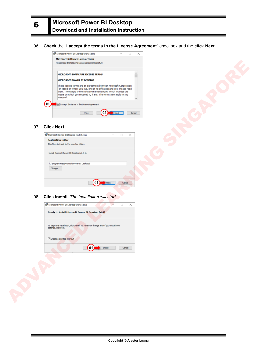#### 06 **Check** the "**I accept the terms in the License Agreement**" checkbox and the **click Next**.



#### 07 **Click Next**.

6



#### 08 **Click Install**. *The installation will start*.

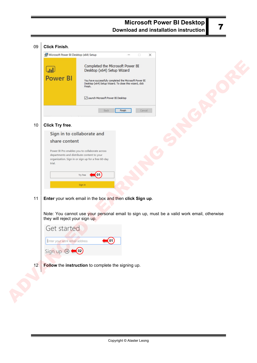| Microsoft Power BI Desktop (x64) Setup<br>×<br>Completed the Microsoft Power BI<br>$\mathsf{L}_{\mathbf{H}}$<br>Desktop (x64) Setup Wizard<br><b>Power BI</b><br>You have successfully completed the Microsoft Power BI<br>Desktop (x64) Setup Wizard. To close this wizard, click<br>Finish.<br>Launch Microsoft Power BI Desktop<br>Back<br>Cancel<br>Finish<br><b>Click Try free.</b><br>10<br>Sign in to collaborate and<br>share content<br>Power BI Pro enables you to collaborate across<br>departments and distribute content to your<br>organization. Sign in or sign up for a free 60-day<br>trial.<br>[01]<br>Try free<br>Sign in<br>Enter your work email in the box and then click Sign up.<br>11<br>Note: You cannot use your personal email to sign up, must be a valid work email, otherwise<br>they will reject your sign up.<br>Get started<br>Enter your work email address<br>(01)<br>Sign up $\odot$ $\bullet$ 02<br>Follow the instruction to complete the signing up.<br>12 | 09 | <b>Click Finish.</b> |
|----------------------------------------------------------------------------------------------------------------------------------------------------------------------------------------------------------------------------------------------------------------------------------------------------------------------------------------------------------------------------------------------------------------------------------------------------------------------------------------------------------------------------------------------------------------------------------------------------------------------------------------------------------------------------------------------------------------------------------------------------------------------------------------------------------------------------------------------------------------------------------------------------------------------------------------------------------------------------------------------------|----|----------------------|
|                                                                                                                                                                                                                                                                                                                                                                                                                                                                                                                                                                                                                                                                                                                                                                                                                                                                                                                                                                                                    |    |                      |
|                                                                                                                                                                                                                                                                                                                                                                                                                                                                                                                                                                                                                                                                                                                                                                                                                                                                                                                                                                                                    |    |                      |
|                                                                                                                                                                                                                                                                                                                                                                                                                                                                                                                                                                                                                                                                                                                                                                                                                                                                                                                                                                                                    |    |                      |
|                                                                                                                                                                                                                                                                                                                                                                                                                                                                                                                                                                                                                                                                                                                                                                                                                                                                                                                                                                                                    |    |                      |
|                                                                                                                                                                                                                                                                                                                                                                                                                                                                                                                                                                                                                                                                                                                                                                                                                                                                                                                                                                                                    |    |                      |
|                                                                                                                                                                                                                                                                                                                                                                                                                                                                                                                                                                                                                                                                                                                                                                                                                                                                                                                                                                                                    |    |                      |
|                                                                                                                                                                                                                                                                                                                                                                                                                                                                                                                                                                                                                                                                                                                                                                                                                                                                                                                                                                                                    |    |                      |
|                                                                                                                                                                                                                                                                                                                                                                                                                                                                                                                                                                                                                                                                                                                                                                                                                                                                                                                                                                                                    |    |                      |
|                                                                                                                                                                                                                                                                                                                                                                                                                                                                                                                                                                                                                                                                                                                                                                                                                                                                                                                                                                                                    |    |                      |
|                                                                                                                                                                                                                                                                                                                                                                                                                                                                                                                                                                                                                                                                                                                                                                                                                                                                                                                                                                                                    |    |                      |
|                                                                                                                                                                                                                                                                                                                                                                                                                                                                                                                                                                                                                                                                                                                                                                                                                                                                                                                                                                                                    |    |                      |
|                                                                                                                                                                                                                                                                                                                                                                                                                                                                                                                                                                                                                                                                                                                                                                                                                                                                                                                                                                                                    |    |                      |
|                                                                                                                                                                                                                                                                                                                                                                                                                                                                                                                                                                                                                                                                                                                                                                                                                                                                                                                                                                                                    |    |                      |
|                                                                                                                                                                                                                                                                                                                                                                                                                                                                                                                                                                                                                                                                                                                                                                                                                                                                                                                                                                                                    |    |                      |
|                                                                                                                                                                                                                                                                                                                                                                                                                                                                                                                                                                                                                                                                                                                                                                                                                                                                                                                                                                                                    |    |                      |
|                                                                                                                                                                                                                                                                                                                                                                                                                                                                                                                                                                                                                                                                                                                                                                                                                                                                                                                                                                                                    |    |                      |
|                                                                                                                                                                                                                                                                                                                                                                                                                                                                                                                                                                                                                                                                                                                                                                                                                                                                                                                                                                                                    |    |                      |
|                                                                                                                                                                                                                                                                                                                                                                                                                                                                                                                                                                                                                                                                                                                                                                                                                                                                                                                                                                                                    |    |                      |
|                                                                                                                                                                                                                                                                                                                                                                                                                                                                                                                                                                                                                                                                                                                                                                                                                                                                                                                                                                                                    |    |                      |
|                                                                                                                                                                                                                                                                                                                                                                                                                                                                                                                                                                                                                                                                                                                                                                                                                                                                                                                                                                                                    |    |                      |